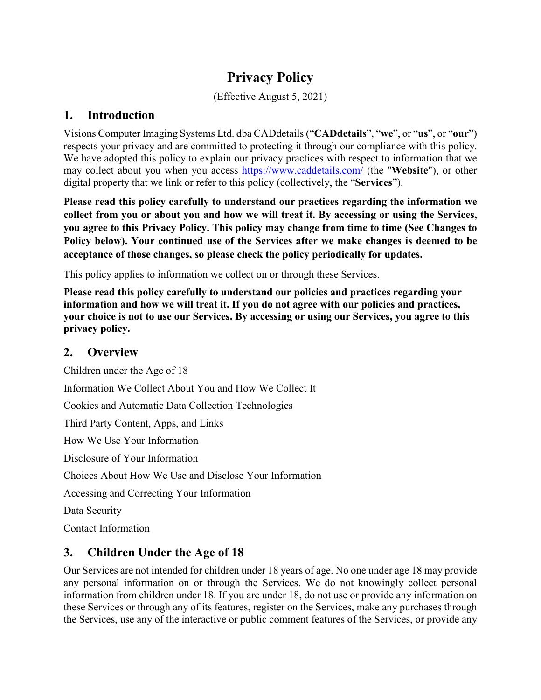# **Privacy Policy**

(Effective August 5, 2021)

### **1. Introduction**

Visions Computer Imaging Systems Ltd. dba CADdetails ("**CADdetails**", "**we**", or "**us**", or "**our**") respects your privacy and are committed to protecting it through our compliance with this policy. We have adopted this policy to explain our privacy practices with respect to information that we may collect about you when you access https://www.caddetails.com/ (the "**Website**"), or other digital property that we link or refer to this policy (collectively, the "**Services**").

**Please read this policy carefully to understand our practices regarding the information we collect from you or about you and how we will treat it. By accessing or using the Services, you agree to this Privacy Policy. This policy may change from time to time (See Changes to Policy below). Your continued use of the Services after we make changes is deemed to be acceptance of those changes, so please check the policy periodically for updates.**

This policy applies to information we collect on or through these Services.

**Please read this policy carefully to understand our policies and practices regarding your information and how we will treat it. If you do not agree with our policies and practices, your choice is not to use our Services. By accessing or using our Services, you agree to this privacy policy.** 

### **2. Overview**

Children under the Age of 18 Information We Collect About You and How We Collect It Cookies and Automatic Data Collection Technologies Third Party Content, Apps, and Links How We Use Your Information Disclosure of Your Information Choices About How We Use and Disclose Your Information Accessing and Correcting Your Information Data Security

Contact Information

# **3. Children Under the Age of 18**

Our Services are not intended for children under 18 years of age. No one under age 18 may provide any personal information on or through the Services. We do not knowingly collect personal information from children under 18. If you are under 18, do not use or provide any information on these Services or through any of its features, register on the Services, make any purchases through the Services, use any of the interactive or public comment features of the Services, or provide any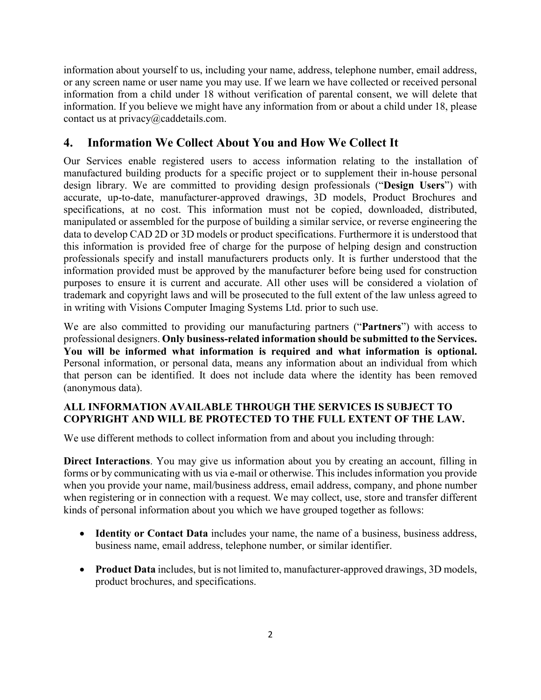information about yourself to us, including your name, address, telephone number, email address, or any screen name or user name you may use. If we learn we have collected or received personal information from a child under 18 without verification of parental consent, we will delete that information. If you believe we might have any information from or about a child under 18, please contact us at privacy@caddetails.com.

### **4. Information We Collect About You and How We Collect It**

Our Services enable registered users to access information relating to the installation of manufactured building products for a specific project or to supplement their in-house personal design library. We are committed to providing design professionals ("**Design Users**") with accurate, up-to-date, manufacturer-approved drawings, 3D models, Product Brochures and specifications, at no cost. This information must not be copied, downloaded, distributed, manipulated or assembled for the purpose of building a similar service, or reverse engineering the data to develop CAD 2D or 3D models or product specifications. Furthermore it is understood that this information is provided free of charge for the purpose of helping design and construction professionals specify and install manufacturers products only. It is further understood that the information provided must be approved by the manufacturer before being used for construction purposes to ensure it is current and accurate. All other uses will be considered a violation of trademark and copyright laws and will be prosecuted to the full extent of the law unless agreed to in writing with Visions Computer Imaging Systems Ltd. prior to such use.

We are also committed to providing our manufacturing partners ("**Partners**") with access to professional designers. **Only business-related information should be submitted to the Services. You will be informed what information is required and what information is optional.** Personal information, or personal data, means any information about an individual from which that person can be identified. It does not include data where the identity has been removed (anonymous data).

#### **ALL INFORMATION AVAILABLE THROUGH THE SERVICES IS SUBJECT TO COPYRIGHT AND WILL BE PROTECTED TO THE FULL EXTENT OF THE LAW.**

We use different methods to collect information from and about you including through:

**Direct Interactions**. You may give us information about you by creating an account, filling in forms or by communicating with us via e-mail or otherwise. This includes information you provide when you provide your name, mail/business address, email address, company, and phone number when registering or in connection with a request. We may collect, use, store and transfer different kinds of personal information about you which we have grouped together as follows:

- **Identity or Contact Data** includes your name, the name of a business, business address, business name, email address, telephone number, or similar identifier.
- **Product Data** includes, but is not limited to, manufacturer-approved drawings, 3D models, product brochures, and specifications.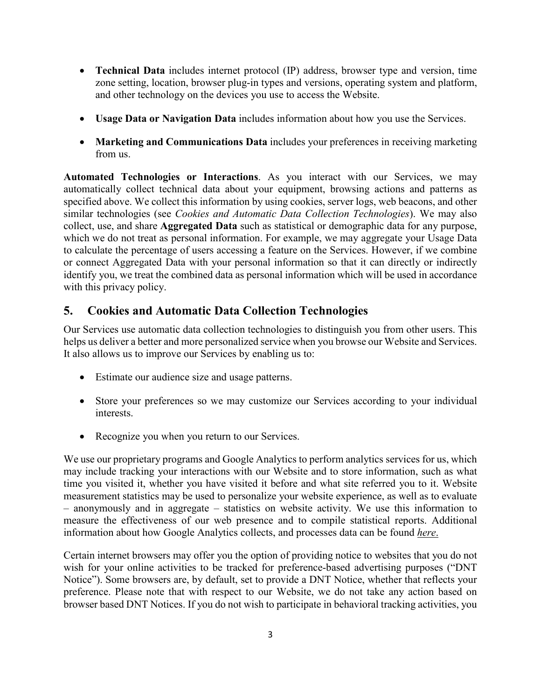- **Technical Data** includes internet protocol (IP) address, browser type and version, time zone setting, location, browser plug-in types and versions, operating system and platform, and other technology on the devices you use to access the Website.
- **Usage Data or Navigation Data** includes information about how you use the Services.
- **Marketing and Communications Data** includes your preferences in receiving marketing from us.

**Automated Technologies or Interactions**. As you interact with our Services, we may automatically collect technical data about your equipment, browsing actions and patterns as specified above. We collect this information by using cookies, server logs, web beacons, and other similar technologies (see *Cookies and Automatic Data Collection Technologies*). We may also collect, use, and share **Aggregated Data** such as statistical or demographic data for any purpose, which we do not treat as personal information. For example, we may aggregate your Usage Data to calculate the percentage of users accessing a feature on the Services. However, if we combine or connect Aggregated Data with your personal information so that it can directly or indirectly identify you, we treat the combined data as personal information which will be used in accordance with this privacy policy.

#### **5. Cookies and Automatic Data Collection Technologies**

Our Services use automatic data collection technologies to distinguish you from other users. This helps us deliver a better and more personalized service when you browse our Website and Services. It also allows us to improve our Services by enabling us to:

- Estimate our audience size and usage patterns.
- Store your preferences so we may customize our Services according to your individual interests.
- Recognize you when you return to our Services.

We use our proprietary programs and Google Analytics to perform analytics services for us, which may include tracking your interactions with our Website and to store information, such as what time you visited it, whether you have visited it before and what site referred you to it. Website measurement statistics may be used to personalize your website experience, as well as to evaluate – anonymously and in aggregate – statistics on website activity. We use this information to measure the effectiveness of our web presence and to compile statistical reports. Additional information about how Google Analytics collects, and processes data can be found *[here](https://developers.google.com/analytics/resources/concepts/gaConceptsTrackingOverview)*.

Certain internet browsers may offer you the option of providing notice to websites that you do not wish for your online activities to be tracked for preference-based advertising purposes ("DNT Notice"). Some browsers are, by default, set to provide a DNT Notice, whether that reflects your preference. Please note that with respect to our Website, we do not take any action based on browser based DNT Notices. If you do not wish to participate in behavioral tracking activities, you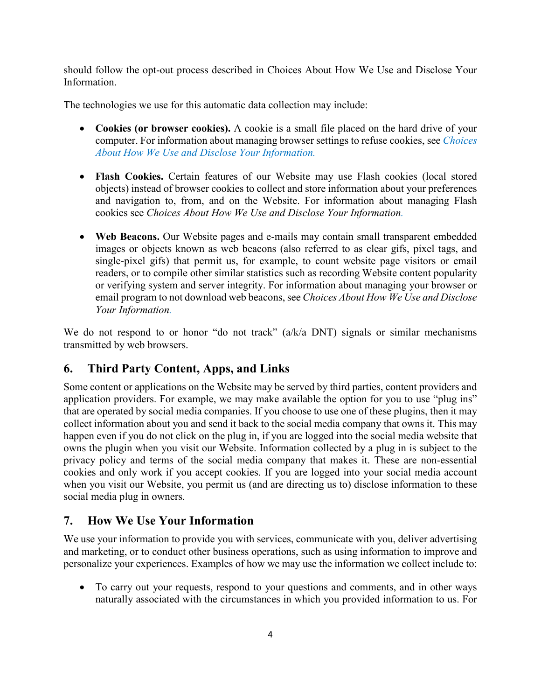should follow the opt-out process described in Choices About How We Use and Disclose Your Information.

The technologies we use for this automatic data collection may include:

- **Cookies (or browser cookies).** A cookie is a small file placed on the hard drive of your computer. For information about managing browser settings to refuse cookies, see *Choices About How We Use and Disclose Your Information.*
- **Flash Cookies.** Certain features of our Website may use Flash cookies (local stored objects) instead of browser cookies to collect and store information about your preferences and navigation to, from, and on the Website. For information about managing Flash cookies see *Choices About How We Use and Disclose Your Information.*
- **Web Beacons.** Our Website pages and e-mails may contain small transparent embedded images or objects known as web beacons (also referred to as clear gifs, pixel tags, and single-pixel gifs) that permit us, for example, to count website page visitors or email readers, or to compile other similar statistics such as recording Website content popularity or verifying system and server integrity. For information about managing your browser or email program to not download web beacons,see *Choices About How We Use and Disclose Your Information.*

We do not respond to or honor "do not track" (a/k/a DNT) signals or similar mechanisms transmitted by web browsers.

# **6. Third Party Content, Apps, and Links**

Some content or applications on the Website may be served by third parties, content providers and application providers. For example, we may make available the option for you to use "plug ins" that are operated by social media companies. If you choose to use one of these plugins, then it may collect information about you and send it back to the social media company that owns it. This may happen even if you do not click on the plug in, if you are logged into the social media website that owns the plugin when you visit our Website. Information collected by a plug in is subject to the privacy policy and terms of the social media company that makes it. These are non-essential cookies and only work if you accept cookies. If you are logged into your social media account when you visit our Website, you permit us (and are directing us to) disclose information to these social media plug in owners.

#### **7. How We Use Your Information**

We use your information to provide you with services, communicate with you, deliver advertising and marketing, or to conduct other business operations, such as using information to improve and personalize your experiences. Examples of how we may use the information we collect include to:

 To carry out your requests, respond to your questions and comments, and in other ways naturally associated with the circumstances in which you provided information to us. For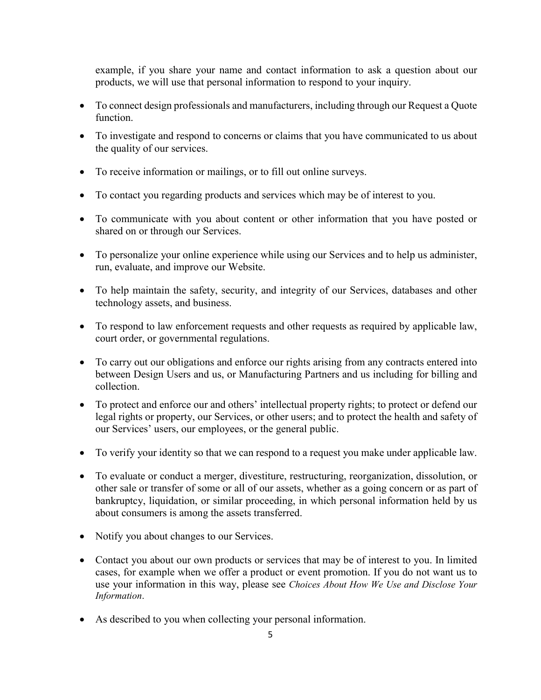example, if you share your name and contact information to ask a question about our products, we will use that personal information to respond to your inquiry.

- To connect design professionals and manufacturers, including through our Request a Quote function.
- To investigate and respond to concerns or claims that you have communicated to us about the quality of our services.
- To receive information or mailings, or to fill out online surveys.
- To contact you regarding products and services which may be of interest to you.
- To communicate with you about content or other information that you have posted or shared on or through our Services.
- To personalize your online experience while using our Services and to help us administer, run, evaluate, and improve our Website.
- To help maintain the safety, security, and integrity of our Services, databases and other technology assets, and business.
- To respond to law enforcement requests and other requests as required by applicable law, court order, or governmental regulations.
- To carry out our obligations and enforce our rights arising from any contracts entered into between Design Users and us, or Manufacturing Partners and us including for billing and collection.
- To protect and enforce our and others' intellectual property rights; to protect or defend our legal rights or property, our Services, or other users; and to protect the health and safety of our Services' users, our employees, or the general public.
- To verify your identity so that we can respond to a request you make under applicable law.
- To evaluate or conduct a merger, divestiture, restructuring, reorganization, dissolution, or other sale or transfer of some or all of our assets, whether as a going concern or as part of bankruptcy, liquidation, or similar proceeding, in which personal information held by us about consumers is among the assets transferred.
- Notify you about changes to our Services.
- Contact you about our own products or services that may be of interest to you. In limited cases, for example when we offer a product or event promotion. If you do not want us to use your information in this way, please see *Choices About How We Use and Disclose Your Information*.
- As described to you when collecting your personal information.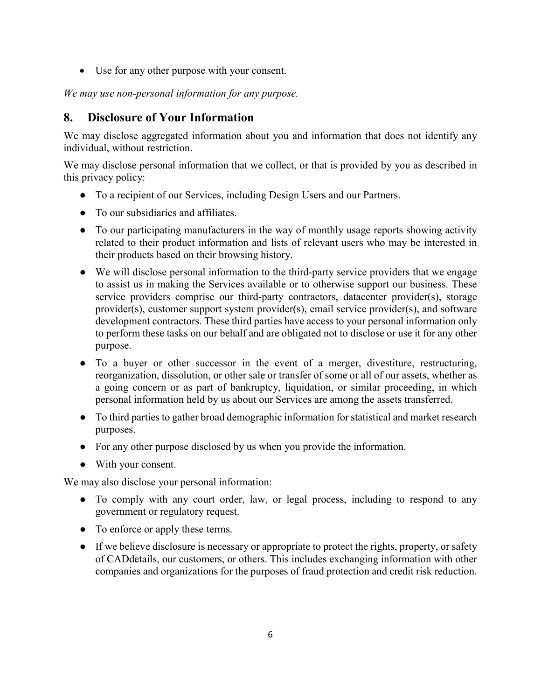Use for any other purpose with your consent.

*We may use non-personal information for any purpose.*

#### **8. Disclosure of Your Information**

We may disclose aggregated information about you and information that does not identify any individual, without restriction.

We may disclose personal information that we collect, or that is provided by you as described in this privacy policy:

- To a recipient of our Services, including Design Users and our Partners.
- To our subsidiaries and affiliates.
- To our participating manufacturers in the way of monthly usage reports showing activity related to their product information and lists of relevant users who may be interested in their products based on their browsing history.
- We will disclose personal information to the third-party service providers that we engage to assist us in making the Services available or to otherwise support our business. These service providers comprise our third-party contractors, datacenter provider(s), storage provider(s), customer support system provider(s), email service provider(s), and software development contractors. These third parties have access to your personal information only to perform these tasks on our behalf and are obligated not to disclose or use it for any other purpose.
- To a buyer or other successor in the event of a merger, divestiture, restructuring, reorganization, dissolution, or other sale or transfer of some or all of our assets, whether as a going concern or as part of bankruptcy, liquidation, or similar proceeding, in which personal information held by us about our Services are among the assets transferred.
- To third parties to gather broad demographic information for statistical and market research purposes.
- For any other purpose disclosed by us when you provide the information.
- With your consent.

We may also disclose your personal information:

- To comply with any court order, law, or legal process, including to respond to any government or regulatory request.
- To enforce or apply these terms.
- If we believe disclosure is necessary or appropriate to protect the rights, property, or safety of CADdetails, our customers, or others. This includes exchanging information with other companies and organizations for the purposes of fraud protection and credit risk reduction.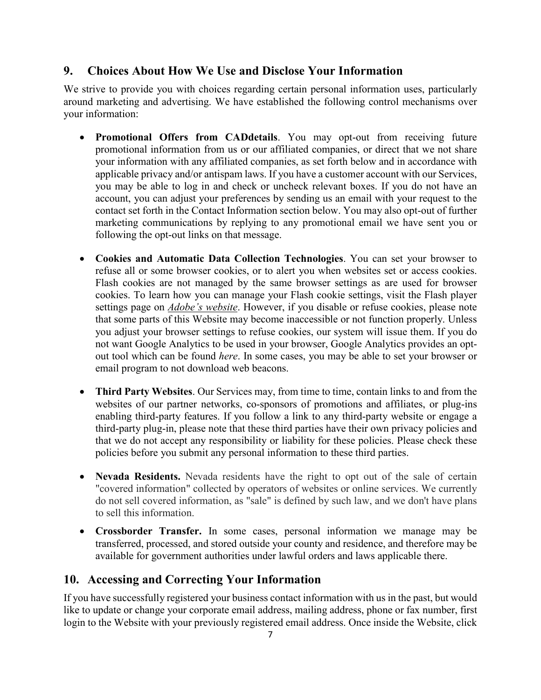#### **9. Choices About How We Use and Disclose Your Information**

We strive to provide you with choices regarding certain personal information uses, particularly around marketing and advertising. We have established the following control mechanisms over your information:

- **Promotional Offers from CADdetails**. You may opt-out from receiving future promotional information from us or our affiliated companies, or direct that we not share your information with any affiliated companies, as set forth below and in accordance with applicable privacy and/or antispam laws. If you have a customer account with our Services, you may be able to log in and check or uncheck relevant boxes. If you do not have an account, you can adjust your preferences by sending us an email with your request to the contact set forth in the Contact Information section below. You may also opt-out of further marketing communications by replying to any promotional email we have sent you or following the opt-out links on that message.
- **Cookies and Automatic Data Collection Technologies**. You can set your browser to refuse all or some browser cookies, or to alert you when websites set or access cookies. Flash cookies are not managed by the same browser settings as are used for browser cookies. To learn how you can manage your Flash cookie settings, visit the Flash player settings page on *Adobe's [website](https://get.adobe.com/flashplayer/about/)*. However, if you disable or refuse cookies, please note that some parts of this Website may become inaccessible or not function properly. Unless you adjust your browser settings to refuse cookies, our system will issue them. If you do not want Google Analytics to be used in your browser, Google Analytics provides an optout tool which can be found *here*. In some cases, you may be able to set your browser or email program to not download web beacons.
- **Third Party Websites**. Our Services may, from time to time, contain links to and from the websites of our partner networks, co-sponsors of promotions and affiliates, or plug-ins enabling third-party features. If you follow a link to any third-party website or engage a third-party plug-in, please note that these third parties have their own privacy policies and that we do not accept any responsibility or liability for these policies. Please check these policies before you submit any personal information to these third parties.
- **Nevada Residents.** Nevada residents have the right to opt out of the sale of certain "covered information" collected by operators of websites or online services. We currently do not sell covered information, as "sale" is defined by such law, and we don't have plans to sell this information.
- **Crossborder Transfer.** In some cases, personal information we manage may be transferred, processed, and stored outside your county and residence, and therefore may be available for government authorities under lawful orders and laws applicable there.

# **10. Accessing and Correcting Your Information**

If you have successfully registered your business contact information with us in the past, but would like to update or change your corporate email address, mailing address, phone or fax number, first login to the Website with your previously registered email address. Once inside the Website, click